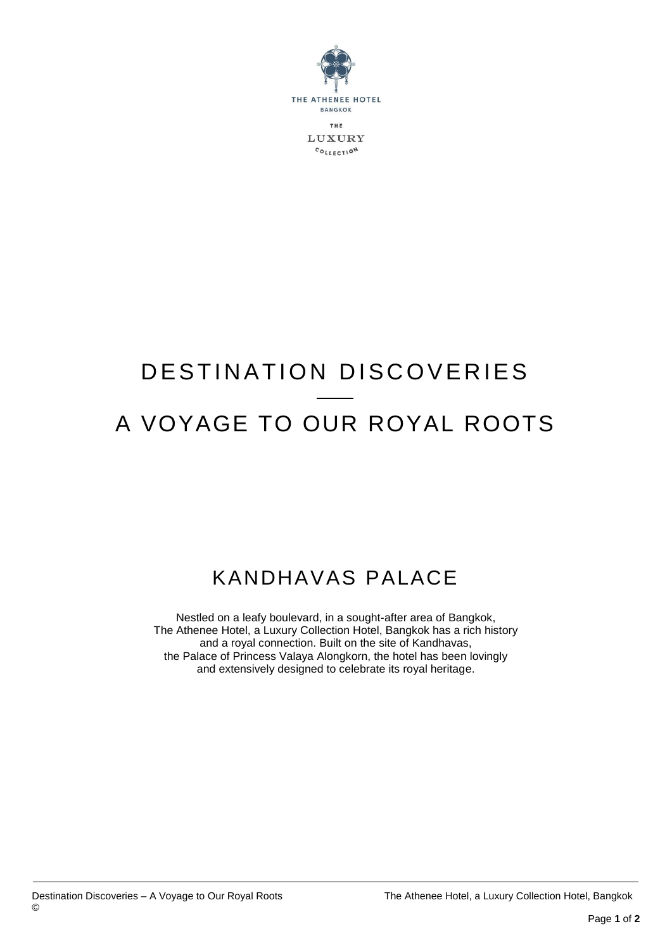

## DESTINATION DISCOVERIES A VOYAGE TO OUR ROYAL ROOTS

## KANDHAVAS PALACE

Nestled on a leafy boulevard, in a sought-after area of Bangkok, The Athenee Hotel, a Luxury Collection Hotel, Bangkok has a rich history and a royal connection. Built on the site of Kandhavas, the Palace of Princess Valaya Alongkorn, the hotel has been lovingly and extensively designed to celebrate its royal heritage.